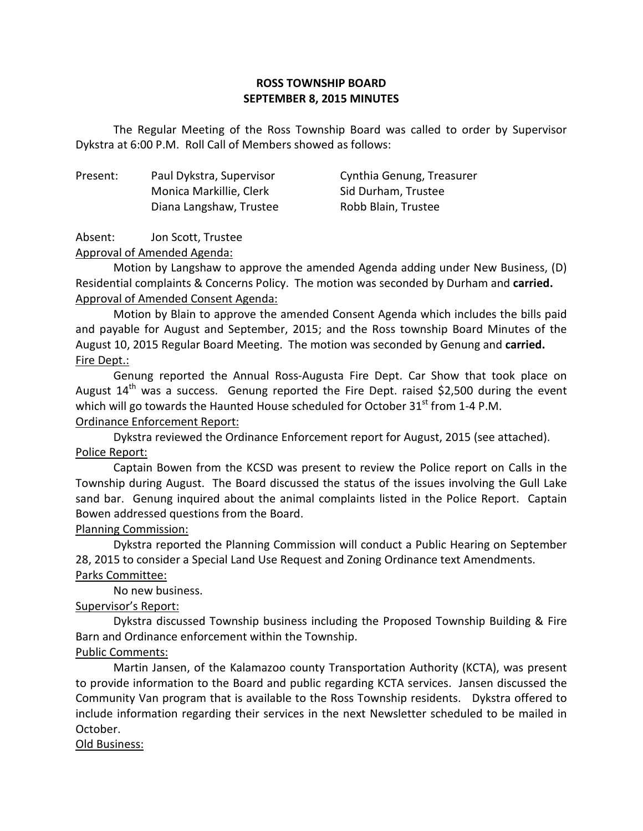## **ROSS TOWNSHIP BOARD SEPTEMBER 8, 2015 MINUTES**

 Dykstra at 6:00 P.M. Roll Call of Members showed as follows: The Regular Meeting of the Ross Township Board was called to order by Supervisor

Present: Monica Markillie, Clerk Sid Durham, Trustee Diana Langshaw, Trustee Robb Blain, Trustee

Paul Dykstra, Supervisor Cynthia Genung, Treasurer

Absent: Jon Scott, Trustee

Approval of Amended Agenda:

 Motion by Langshaw to approve the amended Agenda adding under New Business, (D) Residential complaints & Concerns Policy. The motion was seconded by Durham and **carried.**  Approval of Amended Consent Agenda:

 Motion by Blain to approve the amended Consent Agenda which includes the bills paid and payable for August and September, 2015; and the Ross township Board Minutes of the August 10, 2015 Regular Board Meeting. The motion was seconded by Genung and **carried.**  Fire Dept.:

 Genung reported the Annual Ross-Augusta Fire Dept. Car Show that took place on August  $14^{\text{th}}$  was a success. Genung reported the Fire Dept. raised \$2,500 during the event which will go towards the Haunted House scheduled for October 31 $^{\text{st}}$  from 1-4 P.M. Ordinance Enforcement Report:

 Dykstra reviewed the Ordinance Enforcement report for August, 2015 (see attached). Police Report:

 Captain Bowen from the KCSD was present to review the Police report on Calls in the Township during August. The Board discussed the status of the issues involving the Gull Lake sand bar. Genung inquired about the animal complaints listed in the Police Report. Captain Bowen addressed questions from the Board.

# Planning Commission:

 Dykstra reported the Planning Commission will conduct a Public Hearing on September 28, 2015 to consider a Special Land Use Request and Zoning Ordinance text Amendments. Parks Committee:

No new business.

# Supervisor's Report:

 Dykstra discussed Township business including the Proposed Township Building & Fire Barn and Ordinance enforcement within the Township.

# Public Comments:

 Martin Jansen, of the Kalamazoo county Transportation Authority (KCTA), was present to provide information to the Board and public regarding KCTA services. Jansen discussed the Community Van program that is available to the Ross Township residents. Dykstra offered to include information regarding their services in the next Newsletter scheduled to be mailed in October.

### Old Business: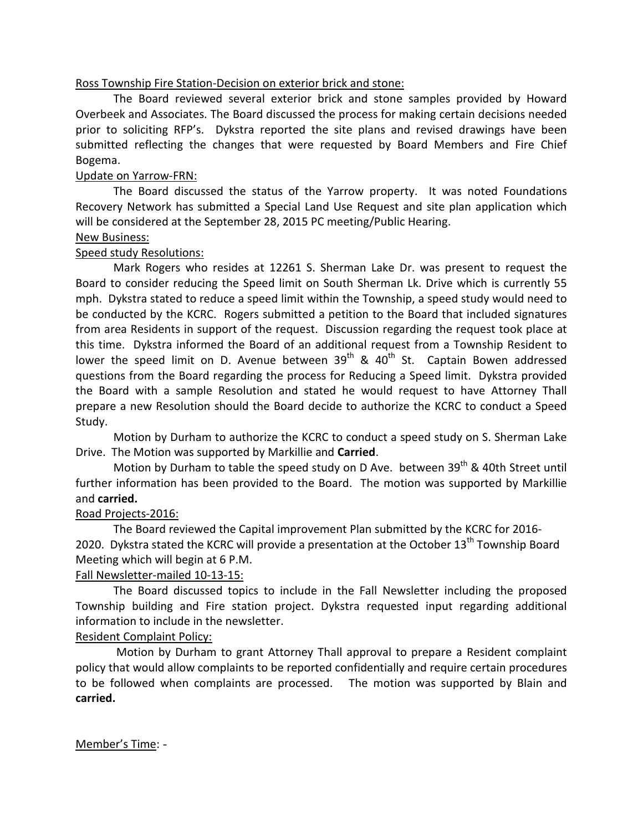### Ross Township Fire Station-Decision on exterior brick and stone:

 Overbeek and Associates. The Board discussed the process for making certain decisions needed prior to soliciting RFP's. Dykstra reported the site plans and revised drawings have been submitted reflecting the changes that were requested by Board Members and Fire Chief Bogema. The Board reviewed several exterior brick and stone samples provided by Howard

# Bogema.<br><u>Update on Yarrow-FRN:</u>

 Recovery Network has submitted a Special Land Use Request and site plan application which will be considered at the September 28, 2015 PC meeting/Public Hearing. The Board discussed the status of the Yarrow property. It was noted Foundations

# **New Business:**

### Speed study Resolutions:

 Board to consider reducing the Speed limit on South Sherman Lk. Drive which is currently 55 mph. Dykstra stated to reduce a speed limit within the Township, a speed study would need to be conducted by the KCRC. Rogers submitted a petition to the Board that included signatures from area Residents in support of the request. Discussion regarding the request took place at this time. Dykstra informed the Board of an additional request from a Township Resident to lower the speed limit on D. Avenue between  $39<sup>th</sup>$  & 40<sup>th</sup> St. Captain Bowen addressed questions from the Board regarding the process for Reducing a Speed limit. Dykstra provided the Board with a sample Resolution and stated he would request to have Attorney Thall prepare a new Resolution should the Board decide to authorize the KCRC to conduct a Speed Study. Mark Rogers who resides at 12261 S. Sherman Lake Dr. was present to request the

 Study. Motion by Durham to authorize the KCRC to conduct a speed study on S. Sherman Lake Drive. The Motion was supported by Markillie and **Carried**.

Motion by Durham to table the speed study on D Ave. between 39<sup>th</sup> & 40th Street until further information has been provided to the Board. The motion was supported by Markillie and **carried.** 

# Road Projects-2016:

2020. Dykstra stated the KCRC will provide a presentation at the October  $13<sup>th</sup>$  Township Board Meeting which will begin at 6 P.M. The Board reviewed the Capital improvement Plan submitted by the KCRC for 2016-

# Fall Newsletter-mailed 10-13-15:

 Township building and Fire station project. Dykstra requested input regarding additional information to include in the newsletter. The Board discussed topics to include in the Fall Newsletter including the proposed

# Resident Complaint Policy:

 policy that would allow complaints to be reported confidentially and require certain procedures to be followed when complaints are processed. The motion was supported by Blain and Motion by Durham to grant Attorney Thall approval to prepare a Resident complaint **carried.** 

Member's Time: -